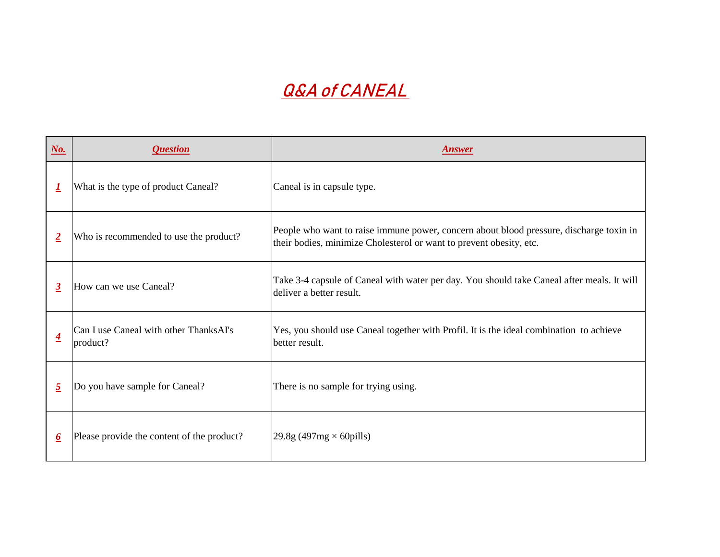## **Q&A of CANEAL**

| $N_o$ .                 | <i><b>Question</b></i>                             | <b>nswer</b>                                                                                         |
|-------------------------|----------------------------------------------------|------------------------------------------------------------------------------------------------------|
| <u> 1</u>               | What is the type of product Caneal?                | Caneal is in capsule type.                                                                           |
| $\overline{2}$          | Who is recommended to use the product?             | People who want to raise immune power, concern<br>their bodies, minimize Cholesterol or want to prev |
| $\boldsymbol{\beta}$    | How can we use Caneal?                             | Take 3-4 capsule of Caneal with water per day. Y<br>deliver a better result.                         |
| $\overline{\mathbf{4}}$ | Can I use Caneal with other ThanksAI's<br>product? | Yes, you should use Caneal together with Profil. I<br>better result.                                 |
| $\overline{2}$          | Do you have sample for Caneal?                     | There is no sample for trying using.                                                                 |
| 6                       | Please provide the content of the product?         | $\left 29.8\right $ (497mg $\times$ 60 pills)                                                        |

oncern about blood pressure, discharge toxin in to prevent obesity, etc.

day. You should take Caneal after meals. It will

Yrofil. It is the ideal combination to achieve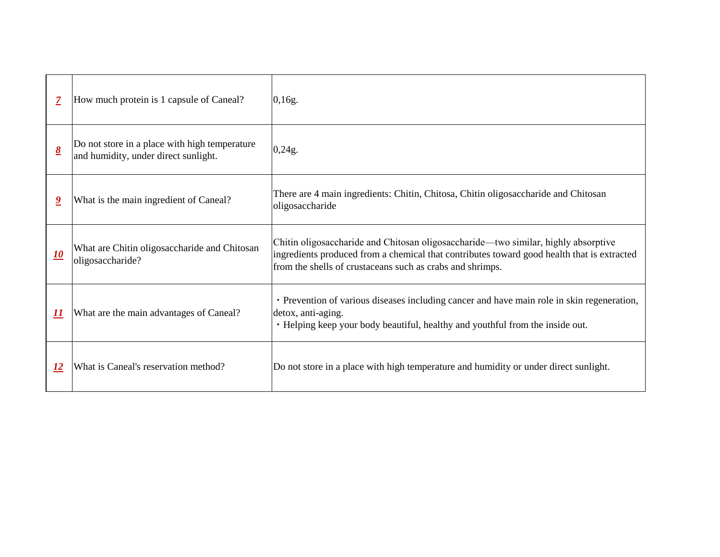| $\boldsymbol{7}$                     | How much protein is 1 capsule of Caneal?                                              | 0,16g.                                                                                                                                     |
|--------------------------------------|---------------------------------------------------------------------------------------|--------------------------------------------------------------------------------------------------------------------------------------------|
| $\underline{\underline{\mathbf{8}}}$ | Do not store in a place with high temperature<br>and humidity, under direct sunlight. | 0,24g.                                                                                                                                     |
| $\overline{\mathbf{9}}$              | What is the main ingredient of Caneal?                                                | There are 4 main ingredients: Chitin, Chitos<br>oligosaccharide                                                                            |
| <u> 10</u>                           | What are Chitin oligosaccharide and Chitosan<br>oligosaccharide?                      | Chitin oligosaccharide and Chitosan oligosa<br>ingredients produced from a chemical that c<br>from the shells of crustaceans such as crabs |
| $\boldsymbol{\underline{H}}$         | What are the main advantages of Caneal?                                               | • Prevention of various diseases including<br>detox, anti-aging.<br>• Helping keep your body beautiful, health                             |
| <u> 12</u>                           | What is Caneal's reservation method?                                                  | Do not store in a place with high temperature                                                                                              |

sa, Chitin oligosaccharide and Chitosan

accharide—two similar, highly absorptive contributes toward good health that is extracted and shrimps.

cancer and have main role in skin regeneration,

iy and youthful from the inside out.

re and humidity or under direct sunlight.